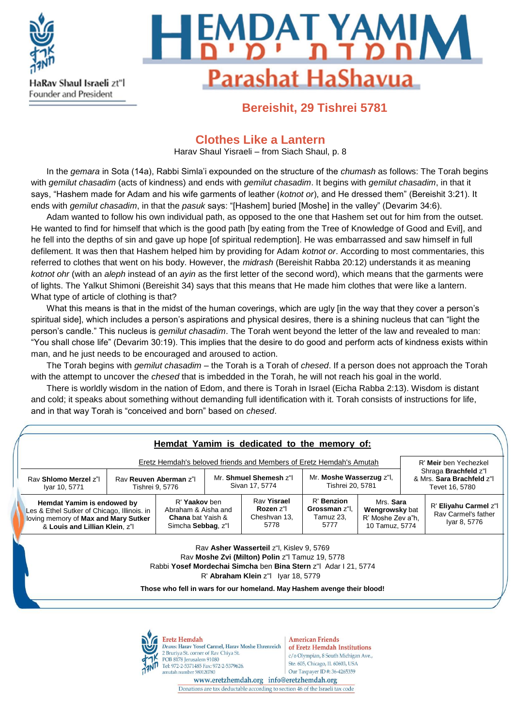

# **MDAT YAMIN Parashat HaShavua**

### **Bereishit, 29 Tishrei 5781**

#### **Clothes Like a Lantern**

Harav Shaul Yisraeli – from Siach Shaul, p. 8

In the *gemara* in Sota (14a), Rabbi Simla'i expounded on the structure of the *chumash* as follows: The Torah begins with *gemilut chasadim* (acts of kindness) and ends with *gemilut chasadim*. It begins with *gemilut chasadim*, in that it says, "Hashem made for Adam and his wife garments of leather (*kotnot or*), and He dressed them" (Bereishit 3:21). It ends with *gemilut chasadim*, in that the *pasuk* says: "[Hashem] buried [Moshe] in the valley" (Devarim 34:6).

Adam wanted to follow his own individual path, as opposed to the one that Hashem set out for him from the outset. He wanted to find for himself that which is the good path [by eating from the Tree of Knowledge of Good and Evil], and he fell into the depths of sin and gave up hope [of spiritual redemption]. He was embarrassed and saw himself in full defilement. It was then that Hashem helped him by providing for Adam *kotnot or*. According to most commentaries, this referred to clothes that went on his body. However, the *midrash* (Bereishit Rabba 20:12) understands it as meaning *kotnot ohr* (with an *aleph* instead of an *ayin* as the first letter of the second word), which means that the garments were of lights. The Yalkut Shimoni (Bereishit 34) says that this means that He made him clothes that were like a lantern. What type of article of clothing is that?

What this means is that in the midst of the human coverings, which are ugly [in the way that they cover a person's spiritual side], which includes a person's aspirations and physical desires, there is a shining nucleus that can "light the person's candle." This nucleus is *gemilut chasadim*. The Torah went beyond the letter of the law and revealed to man: "You shall chose life" (Devarim 30:19). This implies that the desire to do good and perform acts of kindness exists within man, and he just needs to be encouraged and aroused to action.

The Torah begins with *gemilut chasadim* – the Torah is a Torah of *chesed*. If a person does not approach the Torah with the attempt to uncover the *chesed* that is imbedded in the Torah, he will not reach his goal in the world.

There is worldly wisdom in the nation of Edom, and there is Torah in Israel (Eicha Rabba 2:13). Wisdom is distant and cold; it speaks about something without demanding full identification with it. Torah consists of instructions for life, and in that way Torah is "conceived and born" based on *chesed*.

|  |                                                                                                                                                                                                                                                                                     | Hemdat Yamim is dedicated to the memory of:                                                                                                                                                                                                   |  |  |                                                  |                                                  |                                                                    |  |                                                                            |  |
|--|-------------------------------------------------------------------------------------------------------------------------------------------------------------------------------------------------------------------------------------------------------------------------------------|-----------------------------------------------------------------------------------------------------------------------------------------------------------------------------------------------------------------------------------------------|--|--|--------------------------------------------------|--------------------------------------------------|--------------------------------------------------------------------|--|----------------------------------------------------------------------------|--|
|  | Eretz Hemdah's beloved friends and Members of Eretz Hemdah's Amutah<br>R' Meir ben Yechezkel                                                                                                                                                                                        |                                                                                                                                                                                                                                               |  |  |                                                  |                                                  |                                                                    |  |                                                                            |  |
|  | Rav Shlomo Merzel z"<br>Iyar 10, 5771                                                                                                                                                                                                                                               | Rav Reuven Aberman z"l<br>Tishrei 9, 5776                                                                                                                                                                                                     |  |  | Mr. Shmuel Shemesh z"I<br>Sivan 17, 5774         |                                                  | Mr. Moshe Wasserzug z"l,<br>Tishrei 20, 5781                       |  | Shraga <b>Brachfeld</b> z"l<br>& Mrs. Sara Brachfeld z"I<br>Tevet 16, 5780 |  |
|  |                                                                                                                                                                                                                                                                                     | R' Yaakov ben<br>Hemdat Yamim is endowed by<br>Abraham & Aisha and<br>Les & Ethel Sutker of Chicago, Illinois. in<br><b>Chana</b> bat Yaish &<br>loving memory of Max and Mary Sutker<br>Simcha Sebbag, z"l<br>& Louis and Lillian Klein, z"I |  |  | Rav Yisrael<br>Rozen z"l<br>Cheshvan 13,<br>5778 | R' Benzion<br>Grossman z"l.<br>Tamuz 23,<br>5777 | Mrs. Sara<br>Wengrowsky bat<br>R' Moshe Zev a"h,<br>10 Tamuz, 5774 |  | R' Eliyahu Carmel z"l<br>Rav Carmel's father<br>Iyar 8, 5776               |  |
|  | Rav Asher Wasserteil z"I, Kislev 9, 5769<br>Rav Moshe Zvi (Milton) Polin z"I Tamuz 19, 5778<br>Rabbi Yosef Mordechai Simcha ben Bina Stern z"  Adar   21, 5774<br>$R'$ Abraham Klein $z''$ lyar 18, 5779<br>Those who fell in wars for our homeland. May Hashem avenge their blood! |                                                                                                                                                                                                                                               |  |  |                                                  |                                                  |                                                                    |  |                                                                            |  |
|  |                                                                                                                                                                                                                                                                                     |                                                                                                                                                                                                                                               |  |  |                                                  |                                                  |                                                                    |  |                                                                            |  |

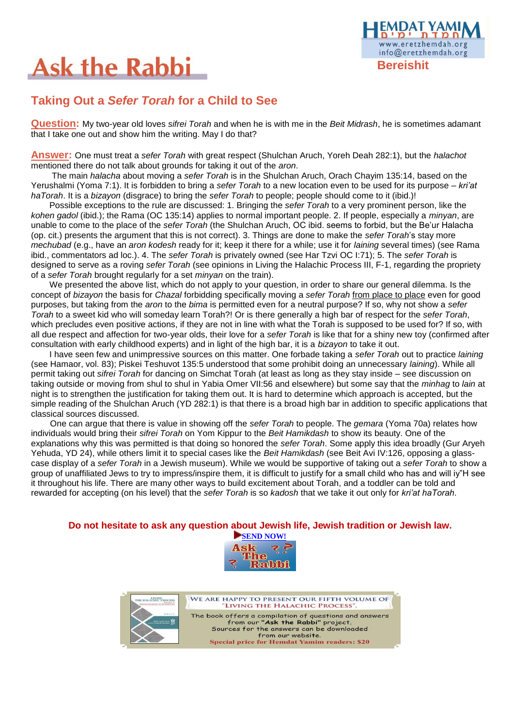## **Ask the Rabbi**



### **Taking Out a** *Sefer Torah* **for a Child to See**

**Question:** My two-year old loves *sifrei Torah* and when he is with me in the *Beit Midrash*, he is sometimes adamant that I take one out and show him the writing. May I do that?

**Answer:** One must treat a *sefer Torah* with great respect (Shulchan Aruch, Yoreh Deah 282:1), but the *halachot*  mentioned there do not talk about grounds for taking it out of the *aron*.

The main *halacha* about moving a *sefer Torah* is in the Shulchan Aruch, Orach Chayim 135:14, based on the Yerushalmi (Yoma 7:1). It is forbidden to bring a *sefer Torah* to a new location even to be used for its purpose – *kri'at haTorah*. It is a *bizayon* (disgrace) to bring the *sefer Torah* to people; people should come to it (ibid.)!

Possible exceptions to the rule are discussed: 1. Bringing the *sefer Torah* to a very prominent person, like the *kohen gadol* (ibid.); the Rama (OC 135:14) applies to normal important people. 2. If people, especially a *minyan*, are unable to come to the place of the *sefer Torah* (the Shulchan Aruch, OC ibid. seems to forbid, but the Be'ur Halacha (op. cit.) presents the argument that this is not correct). 3. Things are done to make the *sefer Torah*'s stay more *mechubad* (e.g., have an *aron kodesh* ready for it; keep it there for a while; use it for *laining* several times) (see Rama ibid., commentators ad loc.). 4. The *sefer Torah* is privately owned (see Har Tzvi OC I:71); 5. The *sefer Torah* is designed to serve as a roving *sefer Torah* (see opinions in Living the Halachic Process III, F-1, regarding the propriety of a *sefer Torah* brought regularly for a set *minyan* on the train).

We presented the above list, which do not apply to your question, in order to share our general dilemma. Is the concept of *bizayon* the basis for *Chazal* forbidding specifically moving a *sefer Torah* from place to place even for good purposes, but taking from the *aron* to the *bima* is permitted even for a neutral purpose? If so, why not show a *sefer Torah* to a sweet kid who will someday learn Torah?! Or is there generally a high bar of respect for the *sefer Torah*, which precludes even positive actions, if they are not in line with what the Torah is supposed to be used for? If so, with all due respect and affection for two-year olds, their love for a *sefer Torah* is like that for a shiny new toy (confirmed after consultation with early childhood experts) and in light of the high bar, it is a *bizayon* to take it out.

I have seen few and unimpressive sources on this matter. One forbade taking a *sefer Torah* out to practice *laining* (see Hamaor, vol. 83); Piskei Teshuvot 135:5 understood that some prohibit doing an unnecessary *laining*). While all permit taking out *sifrei Torah* for dancing on Simchat Torah (at least as long as they stay inside – see discussion on taking outside or moving from shul to shul in Yabia Omer VII:56 and elsewhere) but some say that the *minhag* to *lain* at night is to strengthen the justification for taking them out. It is hard to determine which approach is accepted, but the simple reading of the Shulchan Aruch (YD 282:1) is that there is a broad high bar in addition to specific applications that classical sources discussed.

 One can argue that there is value in showing off the *sefer Torah* to people. The *gemara* (Yoma 70a) relates how individuals would bring their *sifrei Torah* on Yom Kippur to the *Beit Hamikdash* to show its beauty. One of the explanations why this was permitted is that doing so honored the *sefer Torah*. Some apply this idea broadly (Gur Aryeh Yehuda, YD 24), while others limit it to special cases like the *Beit Hamikdash* (see Beit Avi IV:126, opposing a glasscase display of a *sefer Torah* in a Jewish museum). While we would be supportive of taking out a *sefer Torah* to show a group of unaffiliated Jews to try to impress/inspire them, it is difficult to justify for a small child who has and will iy"H see it throughout his life. There are many other ways to build excitement about Torah, and a toddler can be told and rewarded for accepting (on his level) that the *sefer Torah* is so *kadosh* that we take it out only for *kri'at haTorah*.

#### **Do not hesitate to ask any question about Jewish life, Jewish tradition or Jewish law.**





WE ARE HAPPY TO PRESENT OUR FIFTH VOLUME OF "LIVING THE HALACHIC PROCESS". The book offers a compilation of questions and answers<br>from our "Ask the Rabbi" project. Sources for the answers can be downloaded from our website.<br>Special price for Hemdat Yamim readers: \$20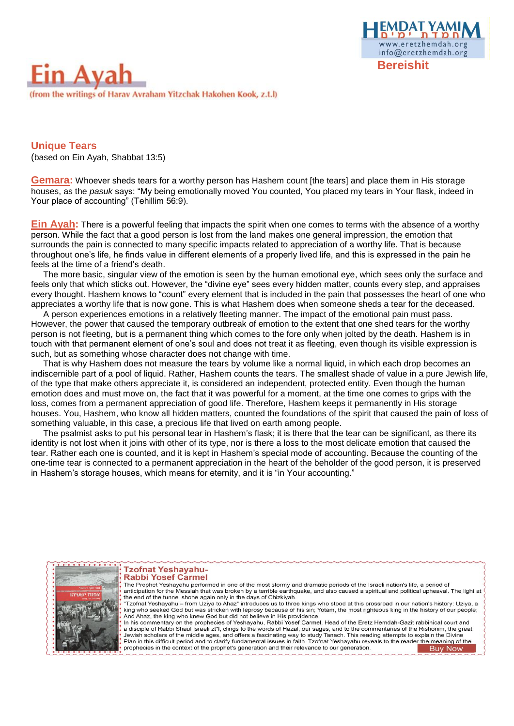



**Unique Tears**  (based on Ein Ayah, Shabbat 13:5)

**Gemara:** Whoever sheds tears for a worthy person has Hashem count [the tears] and place them in His storage houses, as the *pasuk* says: "My being emotionally moved You counted, You placed my tears in Your flask, indeed in Your place of accounting" (Tehillim 56:9).

**Ein Ayah:** There is a powerful feeling that impacts the spirit when one comes to terms with the absence of a worthy person. While the fact that a good person is lost from the land makes one general impression, the emotion that surrounds the pain is connected to many specific impacts related to appreciation of a worthy life. That is because throughout one's life, he finds value in different elements of a properly lived life, and this is expressed in the pain he feels at the time of a friend's death.

The more basic, singular view of the emotion is seen by the human emotional eye, which sees only the surface and feels only that which sticks out. However, the "divine eye" sees every hidden matter, counts every step, and appraises every thought. Hashem knows to "count" every element that is included in the pain that possesses the heart of one who appreciates a worthy life that is now gone. This is what Hashem does when someone sheds a tear for the deceased.

A person experiences emotions in a relatively fleeting manner. The impact of the emotional pain must pass. However, the power that caused the temporary outbreak of emotion to the extent that one shed tears for the worthy person is not fleeting, but is a permanent thing which comes to the fore only when jolted by the death. Hashem is in touch with that permanent element of one's soul and does not treat it as fleeting, even though its visible expression is such, but as something whose character does not change with time.

That is why Hashem does not measure the tears by volume like a normal liquid, in which each drop becomes an indiscernible part of a pool of liquid. Rather, Hashem counts the tears. The smallest shade of value in a pure Jewish life, of the type that make others appreciate it, is considered an independent, protected entity. Even though the human emotion does and must move on, the fact that it was powerful for a moment, at the time one comes to grips with the loss, comes from a permanent appreciation of good life. Therefore, Hashem keeps it permanently in His storage houses. You, Hashem, who know all hidden matters, counted the foundations of the spirit that caused the pain of loss of something valuable, in this case, a precious life that lived on earth among people.

The psalmist asks to put his personal tear in Hashem's flask; it is there that the tear can be significant, as there its identity is not lost when it joins with other of its type, nor is there a loss to the most delicate emotion that caused the tear. Rather each one is counted, and it is kept in Hashem's special mode of accounting. Because the counting of the one-time tear is connected to a permanent appreciation in the heart of the beholder of the good person, it is preserved in Hashem's storage houses, which means for eternity, and it is "in Your accounting."



#### **Tzofnat Yeshayahu-Rabbi Yosef Carmel**

The Prophet Yeshavahu performed in one of the most stormy and dramatic periods of the Israeli nation's life, a period of anticipation for the Messiah that was broken by a terrible earthquake, and also caused a spiritual and political upheaval. The light at the end of the tunnel shone again only in the days of Chizkiyah.<br>"Tzofnat Yeshavahu – from Uziva to Ahaz" introduces us to three kings who stood at this crossroad in our nation's history: Uziva. a king who seeked God but was stricken with leprosy because of his sin; Yotam, the most righteous king in the history of our people; And Ahaz, the king who knew God but did not believe in His providence.<br>In his commentary on the prophecies of Yeshayahu, Rabbi Yosef Carmel, Head of the Eretz Hemdah-Gazit rabbinical court and a disciple of Rabbi Shaul Israeli zt"l, clings to the words of Hazal, our sages, and to the commentaries of the Rishonim, the great

Jewish scholars of the middle ages, and offers a fascinating way to study Tanach. This reading attempts to explain the Divine<br>Plan in this difficult period and to clarify fundamental issues in faith. Tzofnat Yeshayahu reve prophecies in the context of the prophet's generation and their relevance to our generation. **Buy Now**